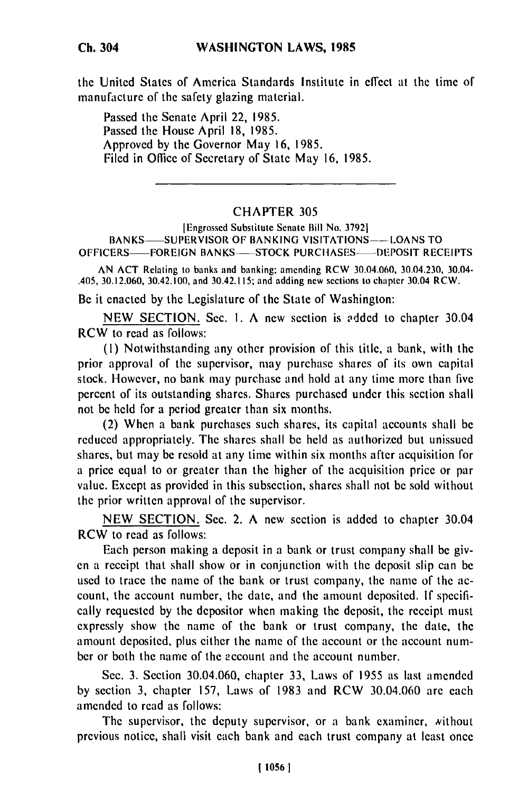the United States of America Standards Institute in effect at the time of manufacture of the safety glazing material.

Passed the Senate April 22, 1985. Passed the House April 18, 1985. Approved by the Governor May 16, 1985. Filed in Office of Secretary of State May 16, 1985.

## CHAPTER 305

[Engrossed Substitute Senate Bill No. 37921 BANKS-SUPERVISOR OF BANKING VISITATIONS--LOANS TO OFFICERS-FOREIGN BANKS-STOCK PURCHASES-DEPOSIT RECEIPTS

AN ACT Relating to banks and banking; amending RCW 30.04.060, 30.04.230, 30.04- .405, 30.12.060, 30.42.100, and 30.42.1 I5; and adding new sections to chapter 30.04 RCW.

Be it enacted by the Legislature of the State of Washington:

NEW SECTION. Sec. 1. A new section is added to chapter 30.04 RCW to read as follows:

(I) Notwithstanding any other provision of this title, a bank, with the prior approval of the supervisor, may purchase shares of its own capital stock. However, no bank may purchase and hold at any time more than five percent of its outstanding shares. Shares purchased under this section shall not be held for a period greater than six months.

(2) When a bank purchases such shares, its capital accounts shall be reduced appropriately. The shares shall be held as authorized but unissued shares, but may be resold at any time within six months after acquisition for a price equal to or greater than the higher of the acquisition price or par value. Except as provided in this subsection, shares shall not be sold without the prior written approval of the supervisor.

NEW SECTION. Sec. 2. A new section is added to chapter 30.04 RCW to read as follows:

Each person making a deposit in a bank or trust company shall be given a receipt that shall show or in conjunction with the deposit slip can be used to trace the name of the bank or trust company, the name of the account, the account number, the date, and the amount deposited. If specifically requested by the depositor when making the deposit, the receipt must expressly show the name of the bank or trust company, the date, the amount deposited, plus either the name of the account or the account number or both the name of the account and the account number.

Sec. 3. Section 30.04.060, chapter 33, Laws of 1955 as last amended by section 3, chapter 157, Laws of 1983 and RCW 30.04.060 are each amended to read as follows:

The supervisor, the deputy supervisor, or a bank examiner, without previous notice, shall visit each bank and each trust company at least once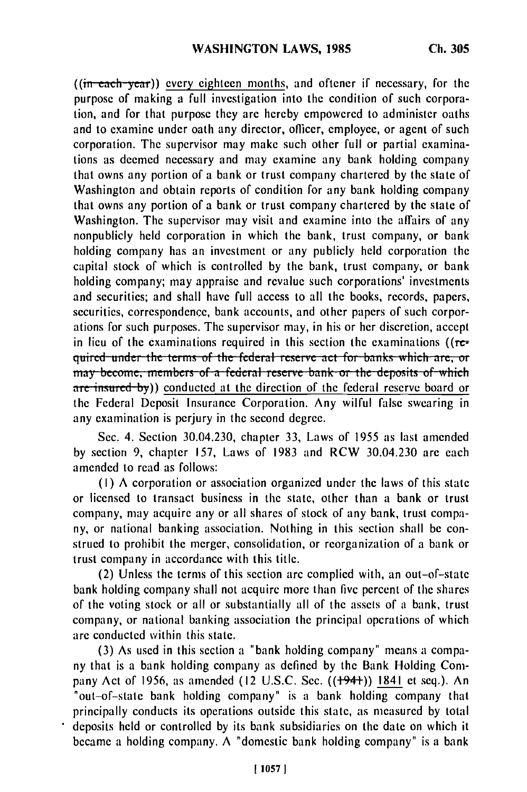((in **each -year))** every eighteen months, and oftener if necessary, for **the** purpose of making a full investigation into the condition of such corporation, and for that purpose they are hereby empowered to administer oaths and to examine under oath any director, officer, employee, or agent of such corporation. The supervisor may make such other full or partial examinations as deemed necessary and may examine any bank holding company that owns any portion of a bank or trust company chartered by the state of Washington and obtain reports of condition for any bank holding company that owns any portion of a bank or trust company chartered by the state of Washington. The supervisor may visit and examine into the affairs of any nonpublicly held corporation in which the bank, trust company, or bank holding company has an investment or any publicly held corporation the capital stock of which is controlled by the bank, trust company, or bank holding company; may appraise and revalue such corporations' investments and securities; and shall have full access to all the books, records, papers, securities, correspondence, bank accounts, and other papers of such corporations for such purposes. The supervisor may, in his or her discretion, accept in lieu of the examinations required in this section the examinations ( $(r_{\text{c}})$ **guired under the terms of the federal reserve act for banks which are, or** may become, members of a federal reserve bank or the deposits of which are insured-by)) conducted at the direction of the federal reserve board or the Federal Deposit Insurance Corporation. Any wilful false swearing in any examination is perjury in the second degree.

Sec. 4. Section 30.04.230, chapter 33, Laws of 1955 as last amended by section **9,** chapter 157, Laws of 1983 and RCW 30.04.230 are each amended to read as follows:

(I) A corporation or association organized under the laws of this state or licensed to transact business in the state, other than a bank or trust company, may acquire any or all shares of stock of any bank, trust company, or national banking association. Nothing in this section shall be construed to prohibit the merger, consolidation, or reorganization of a bank or trust company in accordance with this title.

(2) Unless the terms of this section are complied with, an out-of-state bank holding company shall not acquire more than five percent of the shares of the voting stock or all or substantially all of the assets of a bank, trust company, or national banking association the principal operations of which **are** conducted within this state.

(3) As used in this section a "bank holding company" means a company that is a bank holding company as defined by the Bank Holding Company Act of 1956, as amended (12 U.S.C. Sec. ((+94+)) 1841 et seq.). An "out-of-state bank holding company" is a bank holding company that principally conducts its operations outside this state, as measured by total deposits held or controlled by its bank subsidiaries on the date on which it became a holding company. **A** "domestic bank holding company" is a bank

 $\bullet$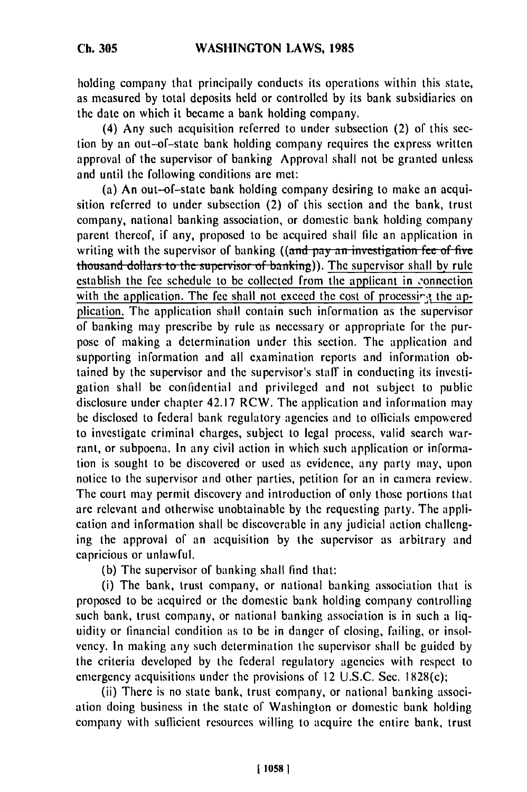**Ch. 305**

holding company that principally conducts its operations within this state, as measured **by** total deposits held or controlled **by** its bank subsidiaries on the date on which it became a bank holding company.

(4) Any such acquisition referred to under subsection (2) of this section **by** an out-of-state bank holding company requires the express written approval of the supervisor of banking Approval shall not **be** granted unless and until the following conditions are met:

(a) An out-of-state bank holding company desiring to make an acquisition referred to under subsection (2) of this section and the bank, trust company, national banking association, or domestic bank holding company parent thereof, if any, proposed to be acquired shall **file** an application in writing with the supervisor of banking **((and pay an investigation fee of five**) thousand dollars to the supervisor of banking)). The supervisor shall by rule establish the fee schedule to be collected from the applicant in -onnection with the application. The fee shall not exceed the cost of processing the application. The application shall contain such information as the supervisor of banking may prescribe by rule as necessary or appropriate for the purpose of making a determination under this section. The application and supporting information and all examination reports and information obtained by the supervisor and the supervisor's staff in conducting its investigation shall be confidential and privileged and not subject to public disclosure under chapter 42.17 RCW. The application and information may be disclosed to federal bank regulatory agencies and to officials empowered to investigate criminal charges, subject to legal process, valid search warrant, or subpoena. In any civil action in which such application or information is sought to be discovered or used as evidence, any party may, upon notice to the supervisor and other parties, petition for an in camera review. The court may permit discovery and introduction of only those portions that are relevant and otherwise unobtainable by the requesting party. The application and information shall be discoverable in any judicial action challenging the approval of an acquisition by the supervisor as arbitrary and capricious or unlawful.

(b) The supervisor of banking shall find that:

(i) The bank, trust company, or national banking association that is proposed to be acquired or the domestic bank holding company controlling such bank, trust company, or national banking association is in such a liquidity or financial condition as to be in danger of closing, failing, or insolvency. In making any such determination the supervisor shall be guided by the criteria developed by the federal regulatory agencies with respect to emergency acquisitions under the provisions of 12 U.S.C. Sec. 1828(c);

(ii) There is no state bank, trust company, or national banking association doing business in the state of Washington or domestic bank holding company with sufficient resources willing to acquire the entire bank, trust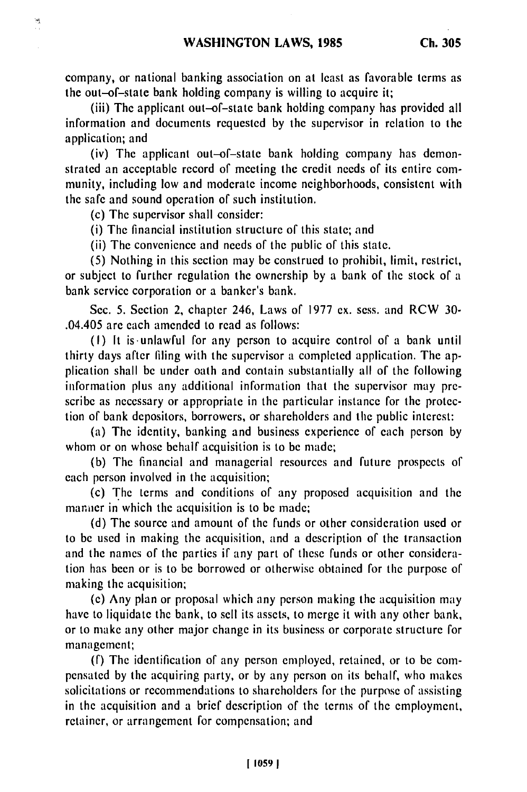company, or national banking association on at least as favorable terms as the out-of-state bank holding company is willing to acquire it;

(iii) The applicant out-of-state bank holding company has provided all information and documents requested by the supervisor in relation to the application; and

(iv) The applicant out-of-state bank holding company has demonstrated an acceptable record of meeting the credit needs of its entire community, including low and moderate income neighborhoods, consistent with the safe and sound operation of such institution.

(c) The supervisor shall consider:

饿

(i) The financial institution structure of this state; and

(ii) The convenience and needs of the public of this state.

(5) Nothing in this section may be construed to prohibit, limit, restrict, or subject to further regulation the ownership by a bank of the stock of a bank service corporation or a banker's bank.

Sec. 5. Section 2, chapter 246, Laws of 1977 ex. sess. and RCW 30- .04.405 are each amended to read as follows:

(I) It is-unlawful for any person to acquire control of a bank until thirty days after filing with the supervisor a completed application. The application shall be under oath and contain substantially all of the following information plus any additional information that the supervisor may prescribe as necessary or appropriate in the particular instance for the protection of bank depositors, borrowers, or shareholders and the public interest:

(a) The identity, banking and business experience of each person by whom or on whose behalf acquisition is to be made;

(b) The financial and managerial resources and future prospects of each person involved in the acquisition;

(c) The terms and conditions of any proposed acquisition and the manner in which the acquisition is to be made;

(d) The source and amount of the funds or other consideration used or to be used in making the acquisition, and a description of the transaction and the names of the parties if any part of these funds or other consideration has been or is to be borrowed or otherwise obtained for the purpose of making the acquisition;

(e) Any plan or proposal which any person making the acquisition may have to liquidate the bank, to sell its assets, to merge it with any other bank, or to make any other major change in its business or corporate structure for management;

(f) The identification of any person employed, retained, or to be compensated by the acquiring party, or by any person on its behalf, who makes solicitations or recommendations to shareholders for the purpose of assisting in the acquisition and a brief description of the terms of the employment, retainer, or arrangement for compensation; and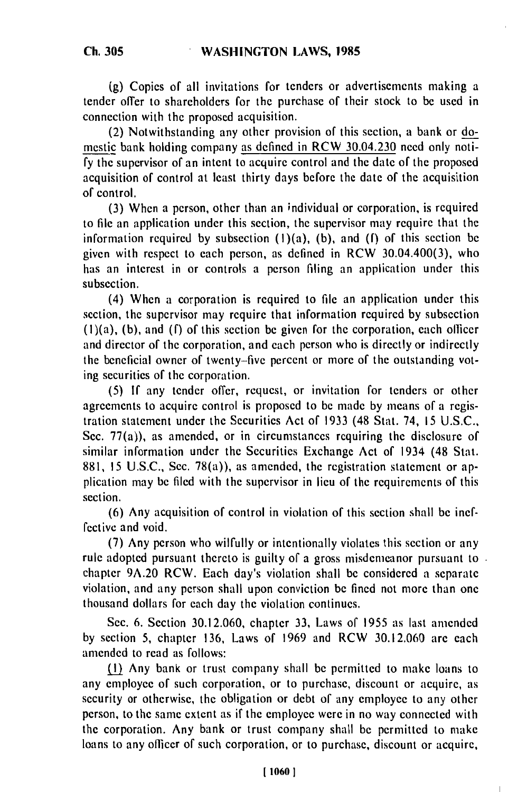**(g)** Copies of all invitations for tenders or advertisements making a tender offer to shareholders for the purchase of their stock to be used in connection with the proposed acquisition.

(2) Notwithstanding any other provision of this section, a bank or domestic bank holding company as defined in RCW 30.04.230 need only noti**fy** the supervisor of an intent to acquire control and the date of the proposed acquisition of control at least thirty days before the date of the acquisition of control.

**(3)** When a person, other than an individual or corporation, is required to **file** an application under this section, the supervisor may require that the information required **by** subsection (1)(a), **(b),** and **(f)** of this section be given with respect to each person, as defined in RCW 30.04.400(3), who has an interest in or controls a person filing an application under this subsection.

(4) When a corporation is required to **file** an application under this section, the supervisor may require that information required **by** subsection (I)(a), **(b),** and **(f)** of this section be given for the corporation, each olticer and director of the corporation, and each person who is directly or indirectly the beneficial owner of twenty-five percent or more of the outstanding voting securities of the corporation.

**(5) If** any tender offer, request, or invitation for tenders or other agreements to acquire control is proposed to **be** made **by** means of a registration statement under the Securities Act of **1933** (48 Stat. 74, **15 U.S.C.,** Sec. 77(a)), as amended, or in circumstances requiring the disclosure of similar information under the Securities Exchange Act of 1934 (48 Stat. **881, 15 U.S.C.,** Sec. 78(a)), as amended, the rcgistration statement or application may be filed with the supervisor in lieu of the requirements of this section.

**(6)** Any acquisition of control in violation of this section shall be ineffective and void.

(7) Any person who wilfully or intentionally violates this section or any rule adopted pursuant thereto is guilty of a gross misdemeanor pursuant to  $\overline{a}$ chapter 9A.20 RCW. Each day's violation shall be considered a separate violation, and any person shall upon conviction be fined not more than one thousand dollars for each day the violation continues.

Sec. 6. Section 30.12.060, chapter 33, Laws of 1955 as last amended by section 5, chapter 136, Laws of 1969 and RCW 30.12.060 are each amended to read as follows:

(1) Any bank or trust company shall be permitted to make loans to any employee of such corporation, or to purchase, discount or acquire, as security or otherwise, the obligation or debt of any employee to any other person, to the same extent as if the employee were in no way connected with the corporation. Any bank or trust company shall be permitted to make loans to any officer of such corporation, or to purchase, discount or acquire,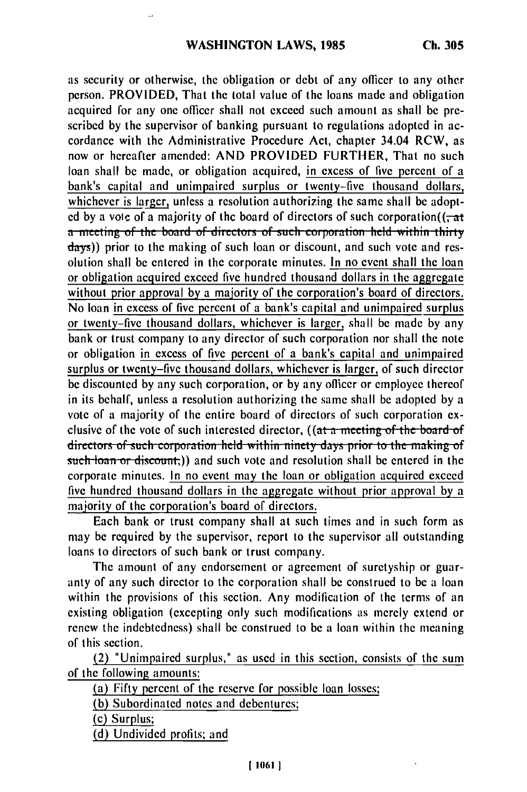as security or otherwise, the obligation or debt of any officer to any other person. PROVIDED, That the total value of the loans made and obligation acquired for any one officer shall not exceed such amount as shall be prescribed by the supervisor of banking pursuant to regulations adopted in accordance with the Administrative Procedure Act, chapter 34.04 RCW, as now or hereafter amended: AND PROVIDED FURTHER, That no such loan shall be made, or obligation acquired, in excess of five percent of a bank's capital and unimpaired surplus or twenty-five thousand dollars, whichever is larger, unless a resolution authorizing the same shall be adopted by a vote of a majority of the board of directors of such corporation( $(-at$ **a** meeting of the board of directors of such corporation held within thirty days)) prior to the making of such loan or discount, and such vote and resolution shall be entered in the corporate minutes. In no event shall the loan or obligation acquired exceed five hundred thousand dollars in the aggregate without prior approval by a majority of the corporation's board of directors. No loan in excess of five percent of a bank's capital and unimpaired surplus or twenty-five thousand dollars, whichever is larger, shall be made by any bank or trust company to any director of such corporation nor shall the note or obligation in excess of five percent of a bank's capital and unimpaired surplus or twenty-five thousand dollars, whichever is larger, of such director be discounted by any such corporation, or by any officer or employee thereof in its behalf, unless a resolution authorizing the same shall be adopted by a vote of a majority of the entire board of directors of such corporation exrefer of a majority of the entire board of uncertors of such corporation ex-<br>clusive of the vote of such interested director, ((at a meeting of the board of directors of such corporation held within ninety days prior to the making of such loan or discount.)) and such vote and resolution shall be entered in the corporate minutes. In no event may the loan or obligation acquired exceed five hundred thousand dollars in the aggregate without prior approval by a majority of the corporation's board of directors.

Each bank or trust company shall at such times and in such form as may be required by the supervisor, report to the supervisor all outstanding loans to directors of such bank or trust company.

The amount of any endorsement or agreement of suretyship or guaranty of any such director to the corporation shall be construed to be a loan within the provisions of this section. Any modification of the terms of an existing obligation (excepting only such modifications as merely extend or renew the indebtedness) shall be construed to be a loan within the meaning of this section.

(2) "Unimpaired surplus," as used in this section, consists of the sum of the following amounts:

(a) Fifty percent of the reserve for possible loan losses;

**(b)** Subordinated notes and debentures;

(c) Surplus;

(d) Undivided profits; and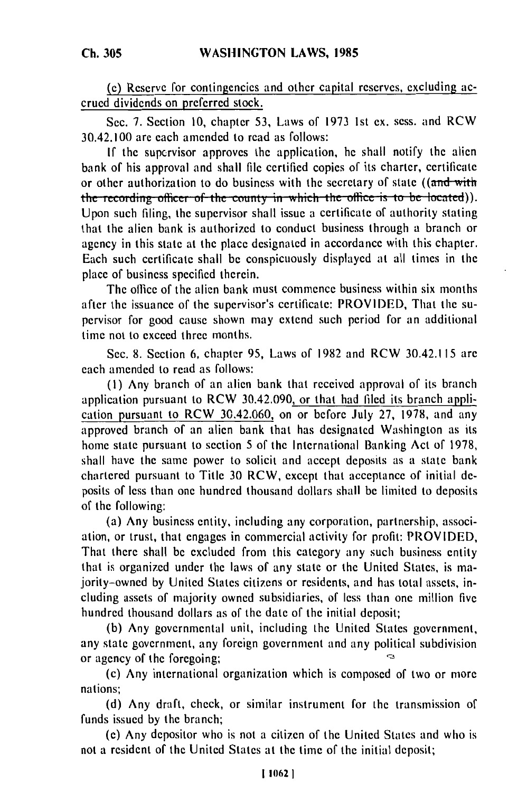**Ch. 305**

**(e)** Reserve for contingencies and other capital reserves, excluding accrued dividends on preferred stock.

Sec. **7.** Section 10, chapter 53, Laws of 1973 Ist ex. sess. and RCW 30.42.100 are each amended to read as follows:

**If** the supervisor approves the application, he shall notify the alien bank of his approval and shall file certified copies of its charter, certificate or other authorization to do business with the secretary of state ((and with the secretary of state ). the recording officer of the county in which the office is to be located)).<br>Upon such filing, the supervisor shall issue a certificate of authority stating that the alien bank is authorized to conduct business through a branch or agency in this state at the place designated in accordance with this chapter. Each such certificate shall **be** conspicuously displayed at all times in the place of business specified therein.

The office of the alien bank must commence business within six months after the issuance of the supervisor's certificate: PROVIDED, That the supervisor for good cause shown may extend such period for an additional time not to exceed three months.

Sec. **8.** Section **6,** chapter **95,** Laws of **1982** and RCW 30.42.115 **are** each amended to read as follows:

**(I)** Any branch of an alien bank that received approval of its branch application pursuant to RCW 30.42.090, or that had filed its branch application pursuant to RCW 30.42.060, on or before July **27, 1978,** and any approved branch of an alien bank that has designated Washington as its home state pursuant to section 5 of the International Banking Act of **1978,** shall have the same power to solicit and accept deposits as a state bank chartered pursuant to Title **30** RCW, except that acceptance of initial **de**posits of less than one hundred thousand dollars shall be limited to deposits of the following:

(a) Any business entity, including any corporation, partnership, association, or trust, that engages in commercial activity for profit: PROVIDED, That there shall **be** excluded from this category any such business entity that is organized under the laws of any state or the United States, is majority-owned **by** United States citizens or residents, and has total assets, including assets of majority owned subsidiaries, of less than one million five hundred thousand dollars as of the date of the initial deposit;

**(b)** Any governmental unit, including the United States government, any state government, any foreign government and any political subdivision Ó or agency of the foregoing;

(c) Any international organization which is composed of two or more nations;

**(d)** Any draft, check, or similar instrument for the transmission of funds issued by the branch;

(e) Any depositor who is not a citizen of the United States and who is not a resident of the United States at the time of the initial deposit;